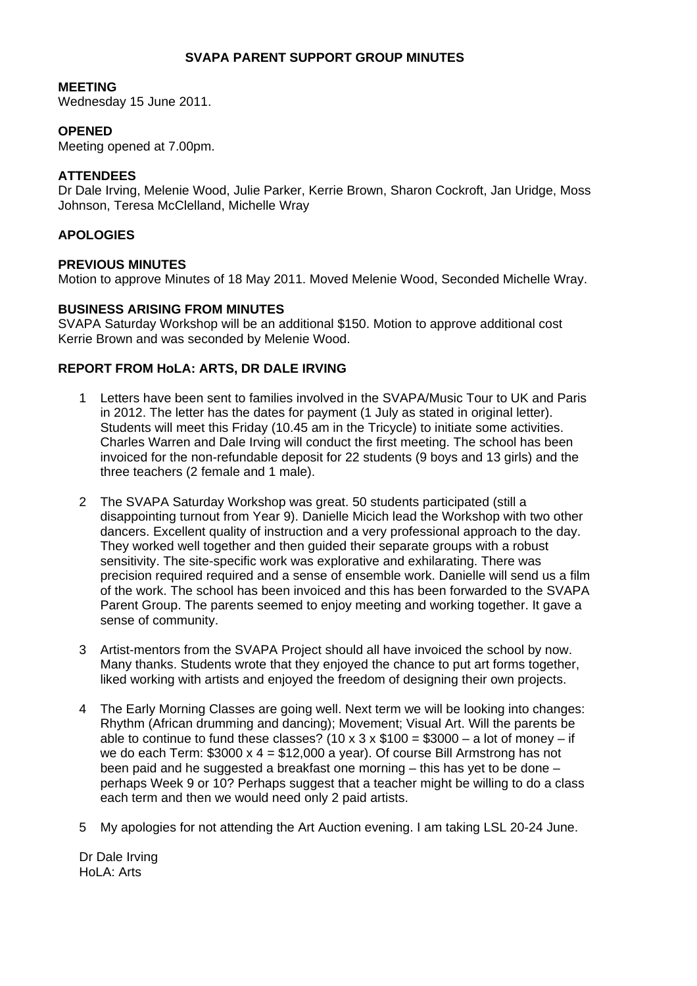# **SVAPA PARENT SUPPORT GROUP MINUTES**

#### **MEETING**

Wednesday 15 June 2011.

## **OPENED**

Meeting opened at 7.00pm.

#### **ATTENDEES**

Dr Dale Irving, Melenie Wood, Julie Parker, Kerrie Brown, Sharon Cockroft, Jan Uridge, Moss Johnson, Teresa McClelland, Michelle Wray

# **APOLOGIES**

#### **PREVIOUS MINUTES**

Motion to approve Minutes of 18 May 2011. Moved Melenie Wood, Seconded Michelle Wray.

## **BUSINESS ARISING FROM MINUTES**

SVAPA Saturday Workshop will be an additional \$150. Motion to approve additional cost Kerrie Brown and was seconded by Melenie Wood.

## **REPORT FROM HoLA: ARTS, DR DALE IRVING**

- 1 Letters have been sent to families involved in the SVAPA/Music Tour to UK and Paris in 2012. The letter has the dates for payment (1 July as stated in original letter). Students will meet this Friday (10.45 am in the Tricycle) to initiate some activities. Charles Warren and Dale Irving will conduct the first meeting. The school has been invoiced for the non-refundable deposit for 22 students (9 boys and 13 girls) and the three teachers (2 female and 1 male).
- 2 The SVAPA Saturday Workshop was great. 50 students participated (still a disappointing turnout from Year 9). Danielle Micich lead the Workshop with two other dancers. Excellent quality of instruction and a very professional approach to the day. They worked well together and then guided their separate groups with a robust sensitivity. The site-specific work was explorative and exhilarating. There was precision required required and a sense of ensemble work. Danielle will send us a film of the work. The school has been invoiced and this has been forwarded to the SVAPA Parent Group. The parents seemed to enjoy meeting and working together. It gave a sense of community.
- 3 Artist-mentors from the SVAPA Project should all have invoiced the school by now. Many thanks. Students wrote that they enjoyed the chance to put art forms together, liked working with artists and enjoyed the freedom of designing their own projects.
- 4 The Early Morning Classes are going well. Next term we will be looking into changes: Rhythm (African drumming and dancing); Movement; Visual Art. Will the parents be able to continue to fund these classes?  $(10 \times 3 \times $100 = $3000 - a$  lot of money – if we do each Term:  $$3000 \times 4 = $12,000$  a year). Of course Bill Armstrong has not been paid and he suggested a breakfast one morning – this has yet to be done – perhaps Week 9 or 10? Perhaps suggest that a teacher might be willing to do a class each term and then we would need only 2 paid artists.
- 5 My apologies for not attending the Art Auction evening. I am taking LSL 20-24 June.

Dr Dale Irving HoLA: Arts